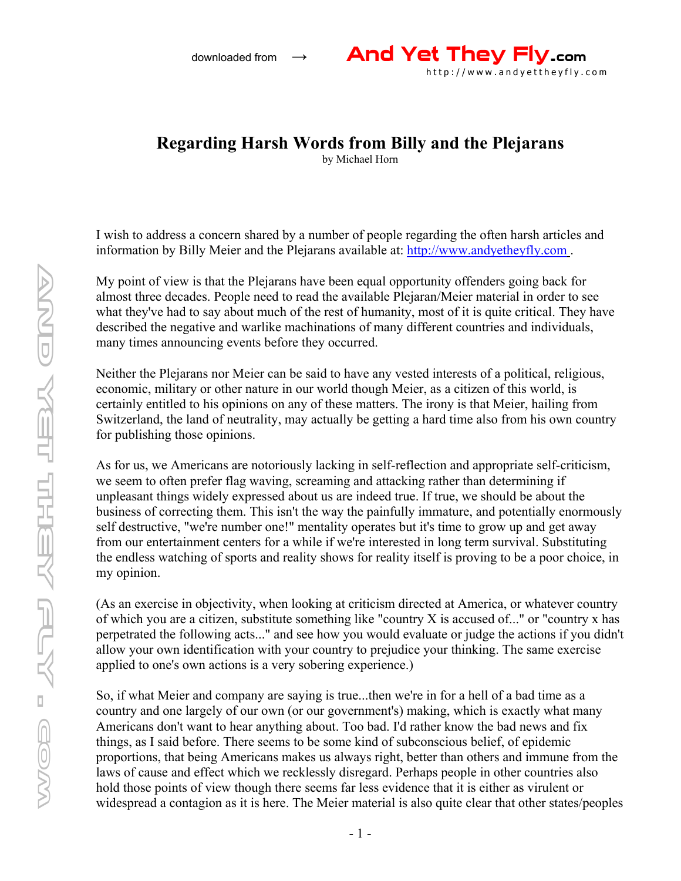

## **Regarding Harsh Words from Billy and the Plejarans**

by Michael Horn

I wish to address a concern shared by a number of people regarding the often harsh articles and information by Billy Meier and the Plejarans available at: http://www.andyetheyfly.com.

My point of view is that the Plejarans have been equal opportunity offenders going back for almost three decades. People need to read the available Plejaran/Meier material in order to see what they've had to say about much of the rest of humanity, most of it is quite critical. They have described the negative and warlike machinations of many different countries and individuals, many times announcing events before they occurred.

Neither the Plejarans nor Meier can be said to have any vested interests of a political, religious, economic, military or other nature in our world though Meier, as a citizen of this world, is certainly entitled to his opinions on any of these matters. The irony is that Meier, hailing from Switzerland, the land of neutrality, may actually be getting a hard time also from his own country for publishing those opinions.

As for us, we Americans are notoriously lacking in self-reflection and appropriate self-criticism, we seem to often prefer flag waving, screaming and attacking rather than determining if unpleasant things widely expressed about us are indeed true. If true, we should be about the business of correcting them. This isn't the way the painfully immature, and potentially enormously self destructive, "we're number one!" mentality operates but it's time to grow up and get away from our entertainment centers for a while if we're interested in long term survival. Substituting the endless watching of sports and reality shows for reality itself is proving to be a poor choice, in my opinion.

(As an exercise in objectivity, when looking at criticism directed at America, or whatever country of which you are a citizen, substitute something like "country X is accused of..." or "country x has perpetrated the following acts..." and see how you would evaluate or judge the actions if you didn't allow your own identification with your country to prejudice your thinking. The same exercise applied to one's own actions is a very sobering experience.)

So, if what Meier and company are saying is true...then we're in for a hell of a bad time as a country and one largely of our own (or our government's) making, which is exactly what many Americans don't want to hear anything about. Too bad. I'd rather know the bad news and fix things, as I said before. There seems to be some kind of subconscious belief, of epidemic proportions, that being Americans makes us always right, better than others and immune from the laws of cause and effect which we recklessly disregard. Perhaps people in other countries also hold those points of view though there seems far less evidence that it is either as virulent or widespread a contagion as it is here. The Meier material is also quite clear that other states/peoples